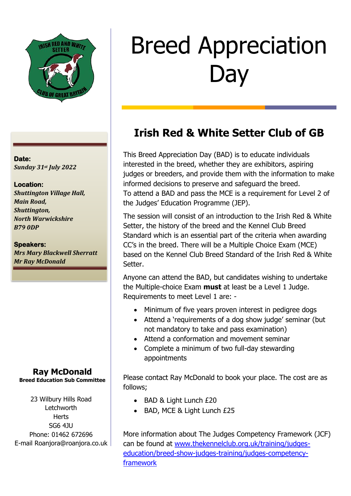

### **Date:**  *Sunday 31st July 2022*

#### **Location:**

*Shuttington Village Hall, Main Road, Shuttington, North Warwickshire B79 0DP*

#### **Speakers:**

*Mrs Mary Blackwell Sherratt Mr Ray McDonald*

#### **Ray McDonald Breed Education Sub Committee**

23 Wilbury Hills Road **Letchworth Herts** SG6 4JU Phone: 01462 672696 E-mail Roanjora@roanjora.co.uk

# Breed Appreciation **Day**

## **Irish Red & White Setter Club of GB**

This Breed Appreciation Day (BAD) is to educate individuals interested in the breed, whether they are exhibitors, aspiring judges or breeders, and provide them with the information to make informed decisions to preserve and safeguard the breed. To attend a BAD and pass the MCE is a requirement for Level 2 of the Judges' Education Programme (JEP).

The session will consist of an introduction to the Irish Red & White Setter, the history of the breed and the Kennel Club Breed Standard which is an essential part of the criteria when awarding CC's in the breed. There will be a Multiple Choice Exam (MCE) based on the Kennel Club Breed Standard of the Irish Red & White Setter.

Anyone can attend the BAD, but candidates wishing to undertake the Multiple-choice Exam **must** at least be a Level 1 Judge. Requirements to meet Level 1 are: -

- Minimum of five years proven interest in pedigree dogs
- Attend a 'requirements of a dog show judge' seminar (but not mandatory to take and pass examination)
- Attend a conformation and movement seminar
- Complete a minimum of two full-day stewarding appointments

Please contact Ray McDonald to book your place. The cost are as follows;

- BAD & Light Lunch £20
- BAD, MCE & Light Lunch £25

More information about The Judges Competency Framework (JCF) can be found at [www.thekennelclub.org.uk/training/judges](http://www.thekennelclub.org.uk/training/judges-education/breed-show-judges-training/judges-competency-framework)[education/breed-show-judges-training/judges-competency](http://www.thekennelclub.org.uk/training/judges-education/breed-show-judges-training/judges-competency-framework)[framework](http://www.thekennelclub.org.uk/training/judges-education/breed-show-judges-training/judges-competency-framework)